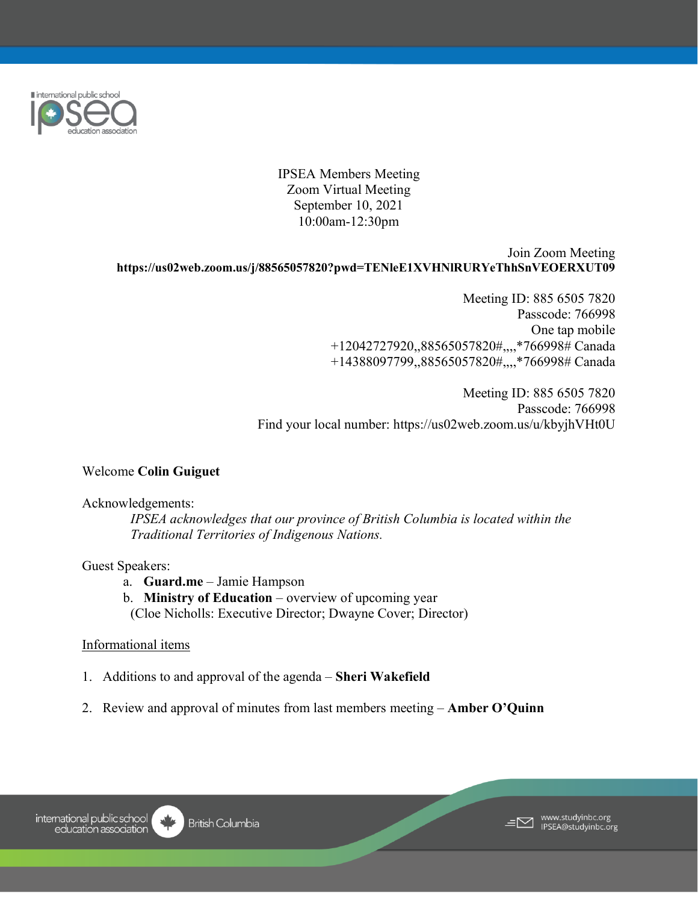

IPSEA Members Meeting Zoom Virtual Meeting September 10, 2021 10:00am-12:30pm

## Join Zoom Meeting **https://us02web.zoom.us/j/88565057820?pwd=TENleE1XVHNlRURYeThhSnVEOERXUT09**

Meeting ID: 885 6505 7820 Passcode: 766998 One tap mobile +12042727920,,88565057820#,,,,\*766998# Canada +14388097799,,88565057820#,,,,\*766998# Canada

Meeting ID: 885 6505 7820 Passcode: 766998 Find your local number: https://us02web.zoom.us/u/kbyjhVHt0U

# Welcome **Colin Guiguet**

## Acknowledgements:

*IPSEA acknowledges that our province of British Columbia is located within the Traditional Territories of Indigenous Nations.* 

## Guest Speakers:

- a. **Guard.me** Jamie Hampson
- b. **Ministry of Education** overview of upcoming year
- (Cloe Nicholls: Executive Director; Dwayne Cover; Director)

# Informational items

- 1. Additions to and approval of the agenda **Sheri Wakefield**
- 2. Review and approval of minutes from last members meeting **Amber O'Quinn**

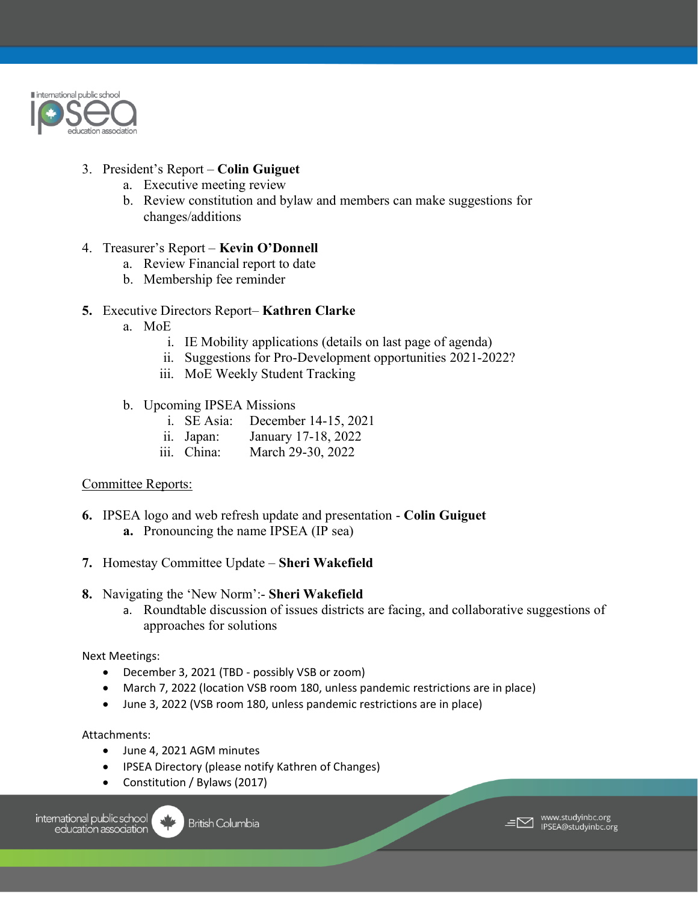

# 3. President's Report – **Colin Guiguet**

- a. Executive meeting review
- b. Review constitution and bylaw and members can make suggestions for changes/additions

# 4. Treasurer's Report – **Kevin O'Donnell**

- a. Review Financial report to date
- b. Membership fee reminder

# **5.** Executive Directors Report– **Kathren Clarke**

- a. MoE
	- i. IE Mobility applications (details on last page of agenda)
	- ii. Suggestions for Pro-Development opportunities 2021-2022?
	- iii. MoE Weekly Student Tracking
- b. Upcoming IPSEA Missions
	- i. SE Asia: December 14-15, 2021
	- ii. Japan: January 17-18, 2022
	- iii. China: March 29-30, 2022

# Committee Reports:

- **6.** IPSEA logo and web refresh update and presentation **Colin Guiguet a.** Pronouncing the name IPSEA (IP sea)
- **7.** Homestay Committee Update **Sheri Wakefield**
- **8.** Navigating the 'New Norm':- **Sheri Wakefield**
	- a. Roundtable discussion of issues districts are facing, and collaborative suggestions of approaches for solutions

Next Meetings:

- December 3, 2021 (TBD possibly VSB or zoom)
- March 7, 2022 (location VSB room 180, unless pandemic restrictions are in place)
- June 3, 2022 (VSB room 180, unless pandemic restrictions are in place)

## Attachments:

- June 4, 2021 AGM minutes
- IPSEA Directory (please notify Kathren of Changes)
- Constitution / Bylaws (2017)

international public school education association